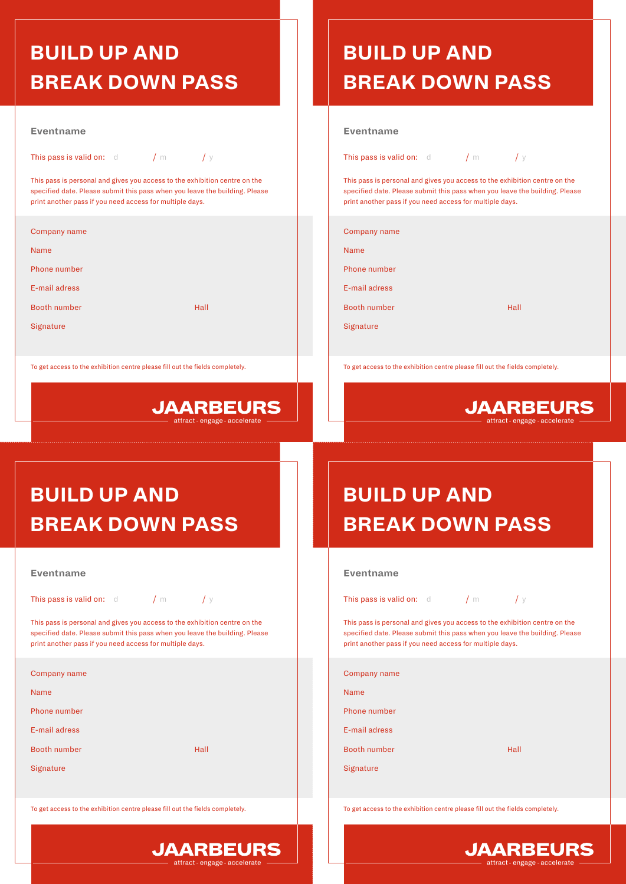### **BUILD UP AND BREAK DOWN PASS**

### **Eventname**

This pass is valid on:  $d = 1/m$  / y

This pass is personal and gives you access to the exhibition centre on the specified date. Please submit this pass when you leave the building. Please print another pass if you need access for multiple days.

Company name

Name

Phone number

E-mail adress

Booth number Hall

**Signature** 

To get access to the exhibition centre please fill out the fields completely.



## **BUILD UP AND BREAK DOWN PASS**

### **Eventname**

This pass is valid on:  $d = 1/m$  / y

This pass is personal and gives you access to the exhibition centre on the specified date. Please submit this pass when you leave the building. Please print another pass if you need access for multiple days.

Company name

Name

Phone number

E-mail adress

Booth number Hall

**Signature** 

To get access to the exhibition centre please fill out the fields completely.



# **BUILD UP AND BREAK DOWN PASS**

|  |  | Eventname |
|--|--|-----------|
|--|--|-----------|

This pass is valid on:  $d$  / m / y

This pass is personal and gives you access to the exhibition centre on the specified date. Please submit this pass when you leave the building. Please print another pass if you need access for multiple days.

| Company name  |      |
|---------------|------|
| <b>Name</b>   |      |
| Phone number  |      |
| E-mail adress |      |
| Booth number  | Hall |
| Signature     |      |
|               |      |

To get access to the exhibition centre please fill out the fields completely.



# **BUILD UP AND BREAK DOWN PASS**

#### **Eventname**

 $C<sub>0</sub>$  $\overline{\mathsf{N}}$  $\overline{P}$ E-mail adress

 $\overline{S}$ 

This pass is valid on:  $d = 1/m$  / y

This pass is personal and gives you access to the exhibition centre on the specified date. Please submit this pass when you leave the building. Please print another pass if you need access for multiple days.

| Company name  |      |
|---------------|------|
| Name          |      |
| Phone number  |      |
| E-mail adress |      |
| Booth number  | Hall |
| Signature     |      |
|               |      |

To get access to the exhibition centre please fill out the fields completely.